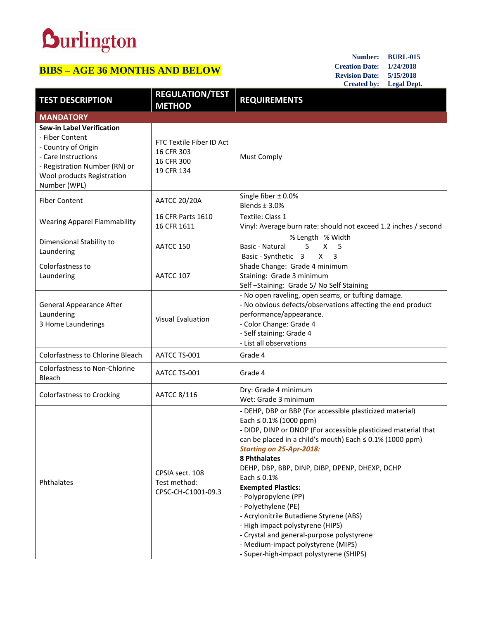## **Durlington**

## **BIBS – AGE 36 MONTHS AND BELOW**

**Number: BURL-015 Creation Date: 1/24/2018 Revision Date: 5/15/2018 Created by: Legal Dept.**

| <b>TEST DESCRIPTION</b>                                                                                                                                                          | <b>REGULATION/TEST</b><br><b>METHOD</b>                            | <b>REQUIREMENTS</b>                                                                                                                                                                                                                                                                                                                                                                                                                                                                                                                                                                                                                           |  |  |
|----------------------------------------------------------------------------------------------------------------------------------------------------------------------------------|--------------------------------------------------------------------|-----------------------------------------------------------------------------------------------------------------------------------------------------------------------------------------------------------------------------------------------------------------------------------------------------------------------------------------------------------------------------------------------------------------------------------------------------------------------------------------------------------------------------------------------------------------------------------------------------------------------------------------------|--|--|
| <b>MANDATORY</b>                                                                                                                                                                 |                                                                    |                                                                                                                                                                                                                                                                                                                                                                                                                                                                                                                                                                                                                                               |  |  |
| <b>Sew-in Label Verification</b><br>- Fiber Content<br>- Country of Origin<br>- Care Instructions<br>- Registration Number (RN) or<br>Wool products Registration<br>Number (WPL) | FTC Textile Fiber ID Act<br>16 CFR 303<br>16 CFR 300<br>19 CFR 134 | <b>Must Comply</b>                                                                                                                                                                                                                                                                                                                                                                                                                                                                                                                                                                                                                            |  |  |
| <b>Fiber Content</b>                                                                                                                                                             | <b>AATCC 20/20A</b>                                                | Single fiber $\pm$ 0.0%<br>Blends $±$ 3.0%                                                                                                                                                                                                                                                                                                                                                                                                                                                                                                                                                                                                    |  |  |
| <b>Wearing Apparel Flammability</b>                                                                                                                                              | 16 CFR Parts 1610<br>16 CFR 1611                                   | Textile: Class 1<br>Vinyl: Average burn rate: should not exceed 1.2 inches / second                                                                                                                                                                                                                                                                                                                                                                                                                                                                                                                                                           |  |  |
| Dimensional Stability to<br>Laundering                                                                                                                                           | AATCC 150                                                          | % Length % Width<br>5.<br>$\mathsf{X}$<br>5<br>Basic - Natural<br>Basic - Synthetic 3<br>$X \quad 3$                                                                                                                                                                                                                                                                                                                                                                                                                                                                                                                                          |  |  |
| Colorfastness to<br>Laundering                                                                                                                                                   | AATCC 107                                                          | Shade Change: Grade 4 minimum<br>Staining: Grade 3 minimum<br>Self-Staining: Grade 5/No Self Staining                                                                                                                                                                                                                                                                                                                                                                                                                                                                                                                                         |  |  |
| <b>General Appearance After</b><br>Laundering<br>3 Home Launderings                                                                                                              | <b>Visual Evaluation</b>                                           | - No open raveling, open seams, or tufting damage.<br>- No obvious defects/observations affecting the end product<br>performance/appearance.<br>- Color Change: Grade 4<br>- Self staining: Grade 4<br>- List all observations                                                                                                                                                                                                                                                                                                                                                                                                                |  |  |
| Colorfastness to Chlorine Bleach                                                                                                                                                 | AATCC TS-001                                                       | Grade 4                                                                                                                                                                                                                                                                                                                                                                                                                                                                                                                                                                                                                                       |  |  |
| <b>Colorfastness to Non-Chlorine</b><br>Bleach                                                                                                                                   | AATCC TS-001                                                       | Grade 4                                                                                                                                                                                                                                                                                                                                                                                                                                                                                                                                                                                                                                       |  |  |
| Colorfastness to Crocking                                                                                                                                                        | AATCC 8/116                                                        | Dry: Grade 4 minimum<br>Wet: Grade 3 minimum                                                                                                                                                                                                                                                                                                                                                                                                                                                                                                                                                                                                  |  |  |
| Phthalates                                                                                                                                                                       | CPSIA sect. 108<br>Test method:<br>CPSC-CH-C1001-09.3              | - DEHP, DBP or BBP (For accessible plasticized material)<br>Each $\leq$ 0.1% (1000 ppm)<br>- DIDP, DINP or DNOP (For accessible plasticized material that<br>can be placed in a child's mouth) Each $\leq$ 0.1% (1000 ppm)<br><b>Starting on 25-Apr-2018:</b><br>8 Phthalates<br>DEHP, DBP, BBP, DINP, DIBP, DPENP, DHEXP, DCHP<br>Each $\leq 0.1\%$<br><b>Exempted Plastics:</b><br>- Polypropylene (PP)<br>- Polyethylene (PE)<br>- Acrylonitrile Butadiene Styrene (ABS)<br>- High impact polystyrene (HIPS)<br>- Crystal and general-purpose polystyrene<br>- Medium-impact polystyrene (MIPS)<br>- Super-high-impact polystyrene (SHIPS) |  |  |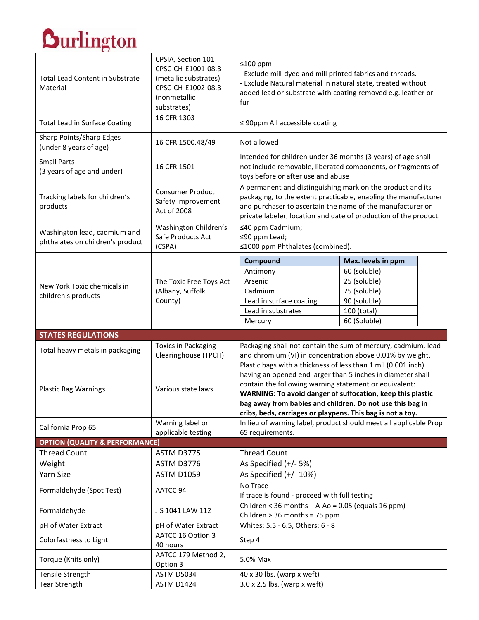## **Durlington**

| <b>Total Lead Content in Substrate</b><br>Material               | CPSIA, Section 101<br>CPSC-CH-E1001-08.3<br>(metallic substrates)<br>CPSC-CH-E1002-08.3<br>(nonmetallic<br>substrates) | $≤100$ ppm<br>- Exclude mill-dyed and mill printed fabrics and threads.<br>- Exclude Natural material in natural state, treated without<br>added lead or substrate with coating removed e.g. leather or<br>fur                                                                                                                                                                  |                                                                   |
|------------------------------------------------------------------|------------------------------------------------------------------------------------------------------------------------|---------------------------------------------------------------------------------------------------------------------------------------------------------------------------------------------------------------------------------------------------------------------------------------------------------------------------------------------------------------------------------|-------------------------------------------------------------------|
| <b>Total Lead in Surface Coating</b>                             | 16 CFR 1303                                                                                                            | $\leq$ 90ppm All accessible coating                                                                                                                                                                                                                                                                                                                                             |                                                                   |
| Sharp Points/Sharp Edges<br>(under 8 years of age)               | 16 CFR 1500.48/49                                                                                                      | Not allowed                                                                                                                                                                                                                                                                                                                                                                     |                                                                   |
| <b>Small Parts</b><br>(3 years of age and under)                 | 16 CFR 1501                                                                                                            | Intended for children under 36 months (3 years) of age shall<br>not include removable, liberated components, or fragments of<br>toys before or after use and abuse                                                                                                                                                                                                              |                                                                   |
| Tracking labels for children's<br>products                       | <b>Consumer Product</b><br>Safety Improvement<br>Act of 2008                                                           | A permanent and distinguishing mark on the product and its<br>packaging, to the extent practicable, enabling the manufacturer<br>and purchaser to ascertain the name of the manufacturer or<br>private labeler, location and date of production of the product.                                                                                                                 |                                                                   |
| Washington lead, cadmium and<br>phthalates on children's product | Washington Children's<br>Safe Products Act<br>(CSPA)                                                                   | ≤40 ppm Cadmium;<br>≤90 ppm Lead;<br>≤1000 ppm Phthalates (combined).                                                                                                                                                                                                                                                                                                           |                                                                   |
|                                                                  |                                                                                                                        | Compound                                                                                                                                                                                                                                                                                                                                                                        | Max. levels in ppm                                                |
|                                                                  |                                                                                                                        | Antimony                                                                                                                                                                                                                                                                                                                                                                        | 60 (soluble)                                                      |
|                                                                  | The Toxic Free Toys Act                                                                                                | Arsenic                                                                                                                                                                                                                                                                                                                                                                         | 25 (soluble)                                                      |
| New York Toxic chemicals in                                      | (Albany, Suffolk<br>County)                                                                                            | Cadmium                                                                                                                                                                                                                                                                                                                                                                         | 75 (soluble)                                                      |
| children's products                                              |                                                                                                                        | Lead in surface coating                                                                                                                                                                                                                                                                                                                                                         | 90 (soluble)                                                      |
|                                                                  |                                                                                                                        | Lead in substrates                                                                                                                                                                                                                                                                                                                                                              | 100 (total)                                                       |
|                                                                  |                                                                                                                        | Mercury                                                                                                                                                                                                                                                                                                                                                                         | 60 (Soluble)                                                      |
|                                                                  |                                                                                                                        |                                                                                                                                                                                                                                                                                                                                                                                 |                                                                   |
| <b>STATES REGULATIONS</b>                                        |                                                                                                                        |                                                                                                                                                                                                                                                                                                                                                                                 |                                                                   |
|                                                                  | <b>Toxics in Packaging</b>                                                                                             |                                                                                                                                                                                                                                                                                                                                                                                 | Packaging shall not contain the sum of mercury, cadmium, lead     |
| Total heavy metals in packaging                                  | Clearinghouse (TPCH)                                                                                                   | and chromium (VI) in concentration above 0.01% by weight.                                                                                                                                                                                                                                                                                                                       |                                                                   |
| <b>Plastic Bag Warnings</b>                                      | Various state laws                                                                                                     | Plastic bags with a thickness of less than 1 mil (0.001 inch)<br>having an opened end larger than 5 inches in diameter shall<br>contain the following warning statement or equivalent:<br>WARNING: To avoid danger of suffocation, keep this plastic<br>bag away from babies and children. Do not use this bag in<br>cribs, beds, carriages or playpens. This bag is not a toy. |                                                                   |
|                                                                  | Warning label or                                                                                                       |                                                                                                                                                                                                                                                                                                                                                                                 | In lieu of warning label, product should meet all applicable Prop |
| California Prop 65                                               | applicable testing                                                                                                     | 65 requirements.                                                                                                                                                                                                                                                                                                                                                                |                                                                   |
| <b>OPTION (QUALITY &amp; PERFORMANCE)</b>                        |                                                                                                                        |                                                                                                                                                                                                                                                                                                                                                                                 |                                                                   |
| <b>Thread Count</b>                                              | <b>ASTM D3775</b>                                                                                                      | <b>Thread Count</b>                                                                                                                                                                                                                                                                                                                                                             |                                                                   |
| Weight                                                           | ASTM D3776                                                                                                             | As Specified (+/- 5%)                                                                                                                                                                                                                                                                                                                                                           |                                                                   |
| Yarn Size                                                        | <b>ASTM D1059</b>                                                                                                      | As Specified $(+/- 10%)$                                                                                                                                                                                                                                                                                                                                                        |                                                                   |
| Formaldehyde (Spot Test)                                         | AATCC 94                                                                                                               | No Trace<br>If trace is found - proceed with full testing                                                                                                                                                                                                                                                                                                                       |                                                                   |
| Formaldehyde                                                     | JIS 1041 LAW 112                                                                                                       | Children < 36 months $-$ A-Ao = 0.05 (equals 16 ppm)<br>Children > 36 months = 75 ppm                                                                                                                                                                                                                                                                                           |                                                                   |
| pH of Water Extract                                              | pH of Water Extract                                                                                                    | Whites: 5.5 - 6.5, Others: 6 - 8                                                                                                                                                                                                                                                                                                                                                |                                                                   |
| Colorfastness to Light                                           | AATCC 16 Option 3<br>40 hours                                                                                          | Step 4                                                                                                                                                                                                                                                                                                                                                                          |                                                                   |
| Torque (Knits only)                                              | AATCC 179 Method 2,                                                                                                    | 5.0% Max                                                                                                                                                                                                                                                                                                                                                                        |                                                                   |
| Tensile Strength                                                 | Option 3<br>ASTM D5034                                                                                                 | $40 \times 30$ lbs. (warp x weft)                                                                                                                                                                                                                                                                                                                                               |                                                                   |